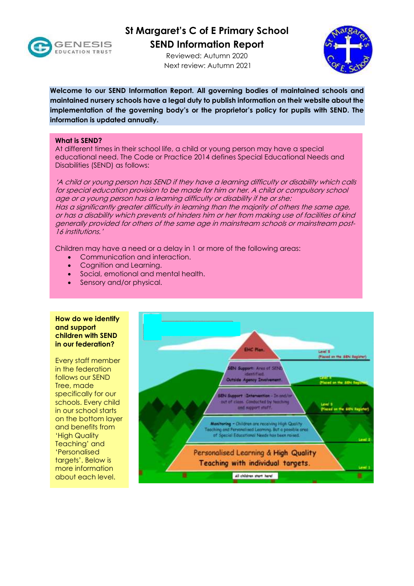

**St Margaret's C of E Primary School SEND Information Report**

> Reviewed: Autumn 2020 Next review: Autumn 2021



**Welcome to our SEND Information Report. All governing bodies of maintained schools and maintained nursery schools have a legal duty to publish information on their website about the implementation of the governing body's or the proprietor's policy for pupils with SEND. The information is updated annually.**

#### **What is SEND?**

At different times in their school life, a child or young person may have a special educational need. The Code or Practice 2014 defines Special Educational Needs and Disabilities (SEND) as follows:

'A child or young person has SEND if they have a learning difficulty or disability which calls for special education provision to be made for him or her. A child or compulsory school age or a young person has a learning difficulty or disability if he or she: Has a significantly greater difficulty in learning than the majority of others the same age, or has a disability which prevents of hinders him or her from making use of facilities of kind generally provided for others of the same age in mainstream schools or mainstream post-16 institutions.'

Children may have a need or a delay in 1 or more of the following areas:

- Communication and interaction.
- Cognition and Learning.
- Social, emotional and mental health.
- Sensory and/or physical.

#### **How do we identify and support children with SEND in our federation?**

Every staff member in the federation follows our SEND Tree, made specifically for our schools. Every child in our school starts on the bottom layer and benefits from 'High Quality Teaching' and 'Personalised targets'. Below is more information about each level.

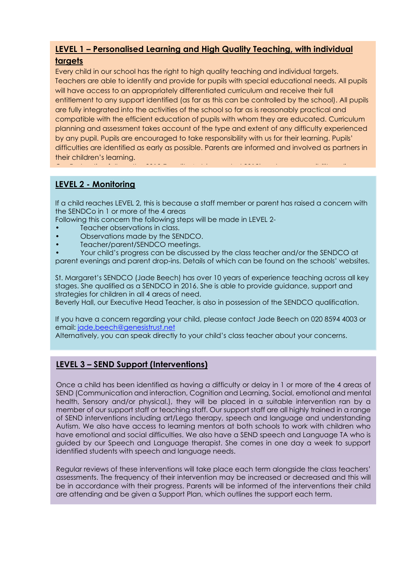# **LEVEL 1 – Personalised Learning and High Quality Teaching, with individual targets**

Every child in our school has the right to high quality teaching and individual targets. Teachers are able to identify and provide for pupils with special educational needs. All pupils will have access to an appropriately differentiated curriculum and receive their full entitlement to any support identified (as far as this can be controlled by the school). All pupils are fully integrated into the activities of the school so far as is reasonably practical and compatible with the efficient education of pupils with whom they are educated. Curriculum planning and assessment takes account of the type and extent of any difficulty experienced by any pupil. Pupils are encouraged to take responsibility with us for their learning. Pupils' difficulties are identified as early as possible. Parents are informed and involved as partners in their children's learning.

#### be found on our schools' website:<https://www.st-margarets-barking.org.uk/policiesb24798c0> **LEVEL 2 - Monitoring**

If a child reaches LEVEL 2, this is because a staff member or parent has raised a concern with the SENDCo in 1 or more of the 4 areas

Our Federation follows the 2010 Equality Act (amended 2012) and our accessibility policy can

Following this concern the following steps will be made in LEVEL 2-

- Teacher observations in class.
- Observations made by the SENDCO.
- Teacher/parent/SENDCO meetings.
- Your child's progress can be discussed by the class teacher and/or the SENDCO at

parent evenings and parent drop-ins. Details of which can be found on the schools' websites.

St. Margaret's SENDCO (Jade Beech) has over 10 years of experience teaching across all key stages. She qualified as a SENDCO in 2016. She is able to provide guidance, support and strategies for children in all 4 areas of need.

Beverly Hall, our Executive Head Teacher, is also in possession of the SENDCO qualification.

If you have a concern regarding your child, please contact Jade Beech on 020 8594 4003 or email: [jade.beech@genesistrust.net](mailto:jade.beech@genesistrust.net)

Alternatively, you can speak directly to your child's class teacher about your concerns.

# **LEVEL 3 – SEND Support (Interventions)**

Once a child has been identified as having a difficulty or delay in 1 or more of the 4 areas of SEND (Communication and interaction, Cognition and Learning, Social, emotional and mental health, Sensory and/or physical.), they will be placed in a suitable intervention ran by a member of our support staff or teaching staff. Our support staff are all highly trained in a range of SEND interventions including art/Lego therapy, speech and language and understanding Autism. We also have access to learning mentors at both schools to work with children who have emotional and social difficulties. We also have a SEND speech and Language TA who is guided by our Speech and Language therapist. She comes in one day a week to support identified students with speech and language needs.

Regular reviews of these interventions will take place each term alongside the class teachers' assessments. The frequency of their intervention may be increased or decreased and this will be in accordance with their progress. Parents will be informed of the interventions their child are attending and be given a Support Plan, which outlines the support each term.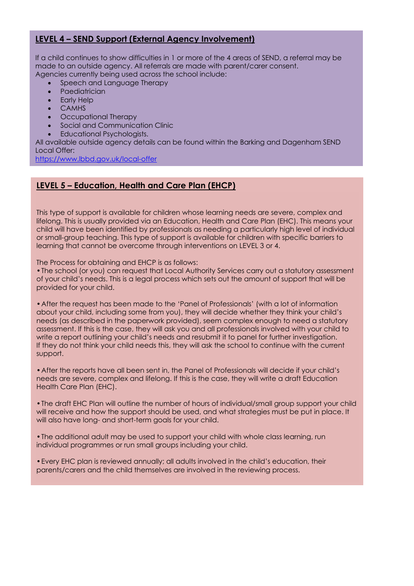# **LEVEL 4 – SEND Support (External Agency Involvement)**

If a child continues to show difficulties in 1 or more of the 4 areas of SEND, a referral may be made to an outside agency. All referrals are made with parent/carer consent. Agencies currently being used across the school include:

- Speech and Language Therapy
- **Paediatrician**
- Early Help
- CAMHS
- Occupational Therapy
- Social and Communication Clinic
- Educational Psychologists.

All available outside agency details can be found within the Barking and Dagenham SEND Local Offer:

<https://www.lbbd.gov.uk/local-offer>

## **LEVEL 5 – Education, Health and Care Plan (EHCP)**

This type of support is available for children whose learning needs are severe, complex and lifelong. This is usually provided via an Education, Health and Care Plan (EHC). This means your child will have been identified by professionals as needing a particularly high level of individual or small-group teaching. This type of support is available for children with specific barriers to learning that cannot be overcome through interventions on LEVEL 3 or 4.

The Process for obtaining and EHCP is as follows:

•The school (or you) can request that Local Authority Services carry out a statutory assessment of your child's needs. This is a legal process which sets out the amount of support that will be provided for your child.

•After the request has been made to the 'Panel of Professionals' (with a lot of information about your child, including some from you), they will decide whether they think your child's needs (as described in the paperwork provided), seem complex enough to need a statutory assessment. If this is the case, they will ask you and all professionals involved with your child to write a report outlining your child's needs and resubmit it to panel for further investigation. If they do not think your child needs this, they will ask the school to continue with the current support.

•After the reports have all been sent in, the Panel of Professionals will decide if your child's needs are severe, complex and lifelong. If this is the case, they will write a draft Education Health Care Plan (EHC).

•The draft EHC Plan will outline the number of hours of individual/small group support your child will receive and how the support should be used, and what strategies must be put in place. It will also have long- and short-term goals for your child.

•The additional adult may be used to support your child with whole class learning, run individual programmes or run small groups including your child.

•Every EHC plan is reviewed annually; all adults involved in the child's education, their parents/carers and the child themselves are involved in the reviewing process.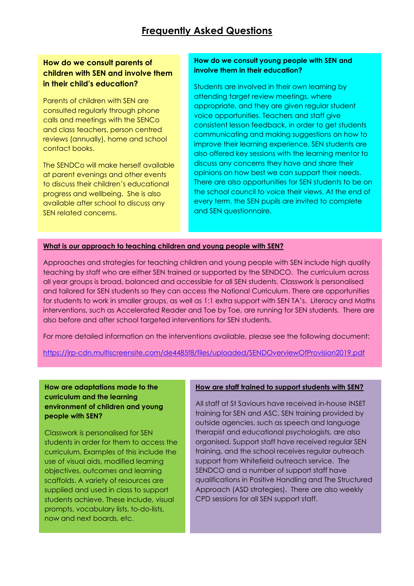# **How do we consult parents of children with SEN and involve them in their child's education?**

Parents of children with SEN are consulted regularly through phone calls and meetings with the SENCo and class teachers, person centred reviews (annually), home and school contact books.

The SENDCo will make herself available at parent evenings and other events to discuss their children's educational progress and wellbeing. She is also available after school to discuss any SEN related concerns.

### **How do we consult young people with SEN and involve them in their education?**

Students are involved in their own learning by attending target review meetings, where appropriate, and they are given regular student voice opportunities. Teachers and staff give consistent lesson feedback, in order to get students communicating and making suggestions on how to improve their learning experience. SEN students are also offered key sessions with the learning mentor to discuss any concerns they have and share their opinions on how best we can support their needs. There are also opportunities for SEN students to be on the school council to voice their views. At the end of every term, the SEN pupils are invited to complete and SEN questionnaire.

### **What is our approach to teaching children and young people with SEN?**

Approaches and strategies for teaching children and young people with SEN include high quality teaching by staff who are either SEN trained or supported by the SENDCO. The curriculum across all year groups is broad, balanced and accessible for all SEN students. Classwork is personalised and tailored for SEN students so they can access the National Curriculum. There are opportunities for students to work in smaller groups, as well as 1:1 extra support with SEN TA's. Literacy and Maths interventions, such as Accelerated Reader and Toe by Toe, are running for SEN students. There are also before and after school targeted interventions for SEN students.

For more detailed information on the interventions available, please see the following document:

<https://irp-cdn.multiscreensite.com/de4485f8/files/uploaded/SENDOverviewOfProvision2019.pdf>

### **How are adaptations made to the curriculum and the learning environment of children and young people with SEN?**

Classwork is personalised for SEN students in order for them to access the curriculum. Examples of this include the use of visual aids, modified learning objectives, outcomes and learning scaffolds. A variety of resources are supplied and used in class to support students achieve. These include, visual prompts, vocabulary lists, to-do-lists, now and next boards, etc.

#### **How are staff trained to support students with SEN?**

All staff at St Saviours have received in-house INSET training for SEN and ASC. SEN training provided by outside agencies, such as speech and language therapist and educational psychologists, are also organised. Support staff have received regular SEN training, and the school receives regular outreach support from Whitefield outreach service. The SENDCO and a number of support staff have qualifications in Positive Handling and The Structured Approach (ASD strategies). There are also weekly CPD sessions for all SEN support staff.